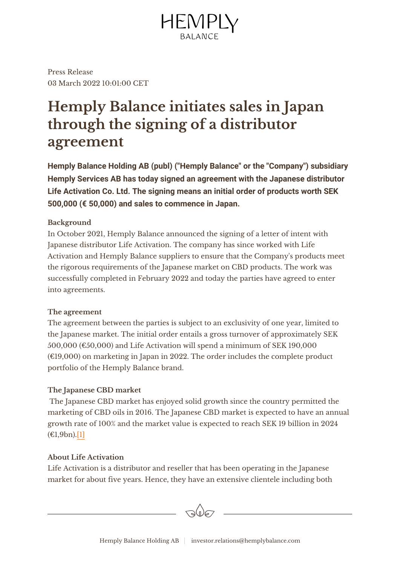

Press Release 03 March 2022 10:01:00 CET

# **Hemply Balance initiates sales in Japan through the signing of a distributor agreement**

**Hemply Balance Holding AB (publ) ("Hemply Balance" or the "Company") subsidiary Hemply Services AB has today signed an agreement with the Japanese distributor Life Activation Co. Ltd. The signing means an initial order of products worth SEK 500,000 (€ 50,000) and sales to commence in Japan.**

# **Background**

In October 2021, Hemply Balance announced the signing of a letter of intent with Japanese distributor Life Activation. The company has since worked with Life Activation and Hemply Balance suppliers to ensure that the Company's products meet the rigorous requirements of the Japanese market on CBD products. The work was successfully completed in February 2022 and today the parties have agreed to enter into agreements.

# **The agreement**

The agreement between the parties is subject to an exclusivity of one year, limited to the Japanese market. The initial order entails a gross turnover of approximately SEK 500,000 ( $\epsilon$ 50,000) and Life Activation will spend a minimum of SEK 190,000  $(E19,000)$  on marketing in Japan in 2022. The order includes the complete product portfolio of the Hemply Balance brand.

# **The Japanese CBD market**

 The Japanese CBD market has enjoyed solid growth since the country permitted the marketing of CBD oils in 2016. The Japanese CBD market is expected to have an annual growth rate of 100% and the market value is expected to reach SEK 19 billion in 2024  $(E1,9bn).[1]$  $(E1,9bn).[1]$ 

# **About Life Activation**

Life Activation is a distributor and reseller that has been operating in the Japanese market for about five years. Hence, they have an extensive clientele including both

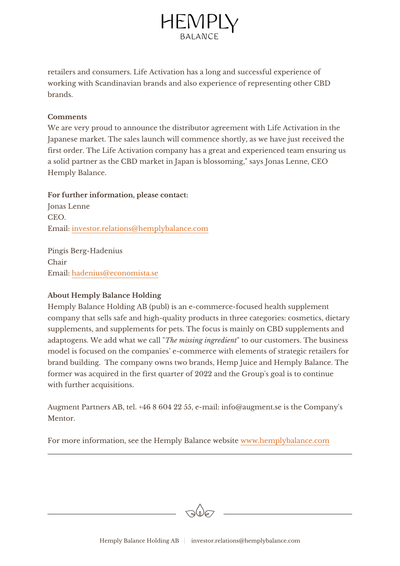

retailers and consumers. Life Activation has a long and successful experience of working with Scandinavian brands and also experience of representing other CBD brands.

#### **Comments**

We are very proud to announce the distributor agreement with Life Activation in the Japanese market. The sales launch will commence shortly, as we have just received the first order. The Life Activation company has a great and experienced team ensuring us a solid partner as the CBD market in Japan is blossoming," says Jonas Lenne, CEO Hemply Balance.

#### **For further information, please contact:**

Jonas Lenne CEO. Email: [investor.relations@hemplybalance.com](mailto:investor.relations@hemplybalance.com)

Pingis Berg-Hadenius Chair Email: [hadenius@economista.se](mailto:hadenius@economista.se)

#### **About Hemply Balance Holding**

Hemply Balance Holding AB (publ) is an e-commerce-focused health supplement company that sells safe and high-quality products in three categories: cosmetics, dietary supplements, and supplements for pets. The focus is mainly on CBD supplements and adaptogens. We add what we call "*The missing ingredient*" to our customers. The business model is focused on the companies' e-commerce with elements of strategic retailers for brand building. The company owns two brands, Hemp Juice and Hemply Balance. The former was acquired in the first quarter of 2022 and the Group's goal is to continue with further acquisitions.

Augment Partners AB, tel. +46 8 604 22 55, e-mail: info@augment.se is the Company's Mentor.

For more information, see the Hemply Balance website [www.hemplybalance.com](http://www.hemplybalance.com)